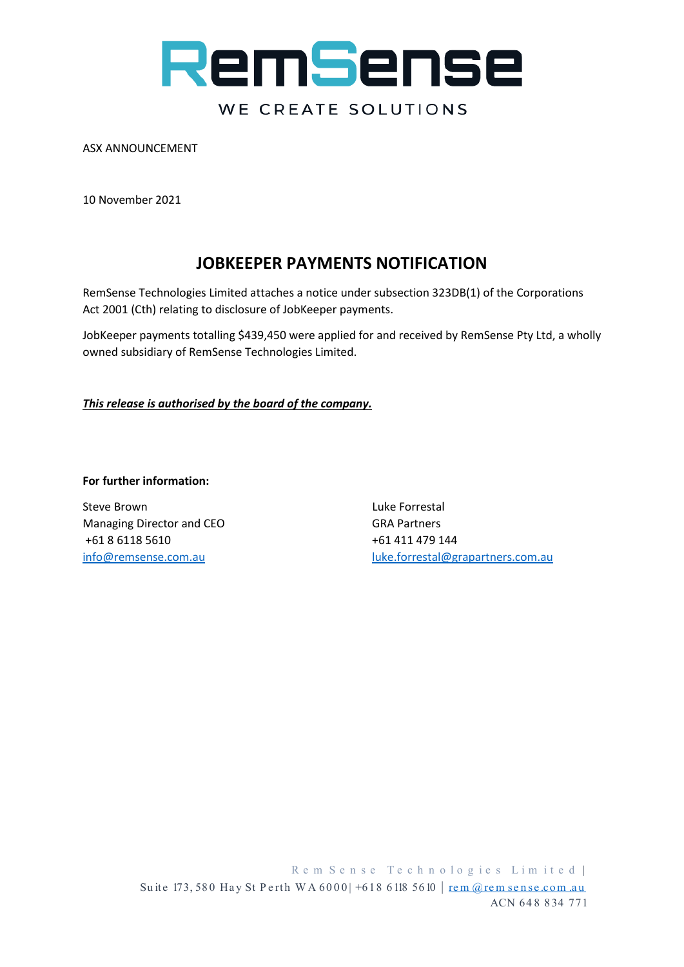

ASX ANNOUNCEMENT

10 November 2021

## **JOBKEEPER PAYMENTS NOTIFICATION**

RemSense Technologies Limited attaches a notice under subsection 323DB(1) of the Corporations Act 2001 (Cth) relating to disclosure of JobKeeper payments.

JobKeeper payments totalling \$439,450 were applied for and received by RemSense Pty Ltd, a wholly owned subsidiary of RemSense Technologies Limited.

#### *This release is authorised by the board of the company.*

#### **For further information:**

Steve Brown Steve Brown Cuke Forrestal Managing Director and CEO GRA Partners +61 8 6118 5610 +61 411 479 144

[info@remsense.com.au](mailto:info@remsense.com.au) [luke.forrestal@grapartners.com.au](mailto:luke.forrestal@grapartners.com.au)